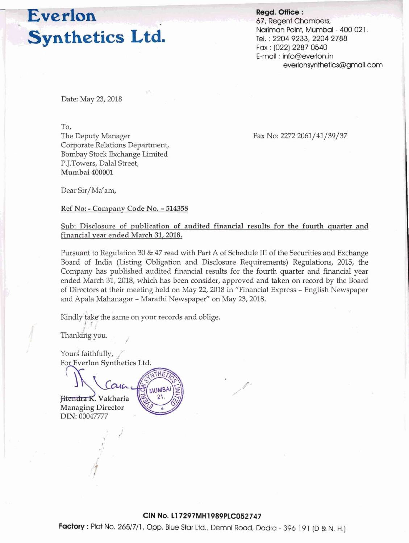# Everlon **Synthetics Ltd.**

**Regd. Office** : 67, Regent Chambers, Nariman Point, Mumbai - 400 021, Tel. : 2204 9233,2204 2788 Fax : (022) 2287 0540 E-mail : info@everlon.in everlonsynthetics@gmail.com

Date: May 23, 2018

To,

The Deputy Manager Corporate Relations Department, Bombay Stock Exchange Limited P.J.Towers, Dalal Street, Mumbai **400001** 

Fax No: 2272 2061/41/39/37

Dear Sir/Ma'am,

Ref No: - Company Code No. - **<sup>514358</sup>**

### Sub: Disclosure of publication of audited financial results for the fourth quarter and financial vear ended March **31,2018.**

Pursuant to Regulation 30 & 47 read with **Part A** of Schedule 111 of the Securities and Exchange Board of India (Listing Obligation and Disclosure Requirements) Regulations, 2015, the Company has published audited financial results for the fourth quarter and financial year ended March 31,2018, which has been consider, approved and taken on record by the Board of Directors at their meeting held on May 22, 2018 in "Financial Express - English Newspaper and Apala Mahanagar - Marathi Newspaper" on May 23,2018.

Kindly take the same on your records and oblige.

**MUMBA** 

Thanking you.

Yours faithfully, For Everlon Synthetics Ltd.

<del>Jitendra K</del>. Vakharia<br>Managing Director DIN: 00047777

**Factory** : Plot No. 2651711, Opp. Blue Star **Ltd..** Demni Road, Dadra - 396 191 (D & N. H.)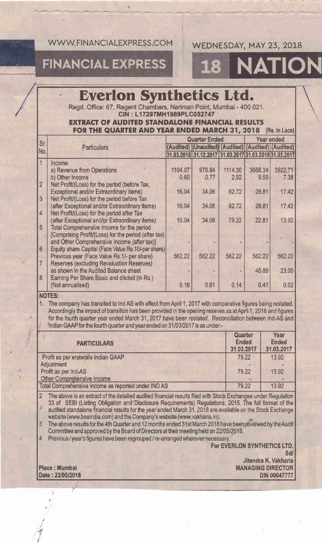WWW FINANCIAL EXPRESS COM

### WEDNESDAY, MAY 23, 2018

ION

## **FINANCIAL EXPRESS**

## **Everlon Synthetics Ltd.**

Read, Office: 67, Regent Chambers, Nariman Point, Mumbai - 400 021. CIN: L17297MH1989PLC052747

### **EXTRACT OF AUDITED STANDALONE FINANCIAL RESULTS** FOR THE QUARTER AND YEAR ENDED MARCH 31, 2018. (Rs. in Lacs)

|                 |                                                      | Quarter Ended |                                                       |         | Year ended |         |
|-----------------|------------------------------------------------------|---------------|-------------------------------------------------------|---------|------------|---------|
| Sr.<br>INo.     | <b>Particulars</b>                                   |               | (Audited) (Unaudited) (Audited) (Audited) (Audited)   |         |            |         |
|                 |                                                      |               | 31.03.2018 31.12.2017 31.03.2017 31.03.2018 31.03.201 |         |            |         |
|                 | Income                                               |               |                                                       |         |            |         |
|                 | a) Revenue from Operations                           | 1104.07       | 976.84                                                | 1114.30 | 3668.34    | 3922.71 |
|                 | b) Other Income                                      | 0.60          | 0.77                                                  | 2.92    | 9.59       | 7.38    |
| $\overline{2}$  | Net Profit/(Loss) for the period (before Tax,        |               |                                                       |         |            |         |
|                 | Exceptional and/or Extraordinary items)              | 16.04         | 34.06                                                 | 82.72   | 28.81      | 17.42   |
| $\overline{3}$  | Net Profit/(Loss) for the period before Tax          |               |                                                       |         |            |         |
|                 | (after Exceptional and/or Extraordinary items)       | 16.04         | 34.06                                                 | 82.72   | 28.81      | 17.42   |
| $\overline{4}$  | Net Profit/(Loss) for the period after Tax           |               |                                                       |         |            |         |
|                 | (after Exceptional and/or Extraordinary items)       | 10.04         | 34.06                                                 | 79.22   | 22.81      | 13.92   |
| $\overline{5}$  | Total Comprehensive Income for the period            |               |                                                       |         |            |         |
|                 | [Comprising Profit/(Loss) for the period (after tax) |               |                                                       |         |            |         |
|                 | and Other Comprehensive Income (after tax)]          |               |                                                       |         |            |         |
| $6\overline{6}$ | Equity share Capital (Face Value Rs.10/-per share)   |               |                                                       |         |            |         |
|                 | Previous year (Face Value Rs.1/- per share)          | 562.22        | 562.22                                                | 562.22  | 562.22     | 562.22  |
| 7               | Reserves (excluding Revaluation Reserves)            |               |                                                       |         |            |         |
|                 | as shown in the Audited Balance sheet                |               |                                                       |         | 45.88      | 23.00   |
| $\overline{8}$  | Earning Per Share Basic and diluted (in Rs.)         |               |                                                       |         |            |         |
|                 | (Not annualised)                                     | 0.18          | 0.61                                                  | 0.14    | 0.41       | 0.02    |

NOTES:

1. The company has transited to Ind AS with effect from April 1, 2017 with comparative figures being restated. Accordingly the impact of transition has been provided in the opening reseves as at April 1, 2016 and figures for the fourth quarter year ended March 31, 2017 have been restated. Reconciliation between Ind-AS and 'Indian GAAP for the fourth quarter and year ended on 31/03/2017 is as under:-

| <b>PARTICULARS</b>                                  | Quarter<br>Ended<br>31.03.2017 | Year<br>Ended<br>31.03.2017 |
|-----------------------------------------------------|--------------------------------|-----------------------------|
| Profit as per erstwhile Indian GAAP                 | 79.22                          | 13.92                       |
| Adjustment                                          | $\overline{a}$                 |                             |
| Profit as per Ind-AS                                | 79.22                          | 13.92                       |
| Other Comprehensive Income                          |                                |                             |
| Total Comprehensive income as reported under IND AS | 79.22                          | 13.92                       |

The above is an extract of the detailed audited financial results filed with Stock Exchanges under Regulation  $\overline{2}$ 33 of SEBI (Listing Obligation and Disclosure Requirements) Regulations, 2015. The full format of the audited standalone financial results for the year ended March 31, 2018 are available on the Stock Exchange website (www.bseindia.com) and the Company's website (www.vakharia.in).

The above results for the 4th Quarter and 12 months ended 31st March 2018 have been reviewed by the Audit  $\overline{3}$ Committee and approved by the Board of Directors at their meeting held on 22/05/2018.

4 Previous / year's figures have been regrouped / re-arranged wherever necessary.

For EVERLON SYNTHETICS LTD. Sd/

Place : Mumbai Date: 22/05/2018

Jitendra K. Vakharia **MANAGING DIRECTOR DIN 00047777**